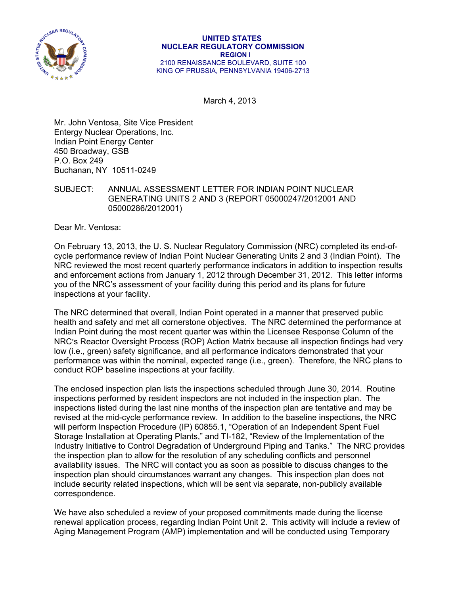

March 4, 2013

Mr. John Ventosa, Site Vice President Entergy Nuclear Operations, Inc. Indian Point Energy Center 450 Broadway, GSB P.O. Box 249 Buchanan, NY 10511-0249

## SUBJECT: ANNUAL ASSESSMENT LETTER FOR INDIAN POINT NUCLEAR GENERATING UNITS 2 AND 3 (REPORT 05000247/2012001 AND 05000286/2012001)

Dear Mr. Ventosa:

On February 13, 2013, the U. S. Nuclear Regulatory Commission (NRC) completed its end-ofcycle performance review of Indian Point Nuclear Generating Units 2 and 3 (Indian Point). The NRC reviewed the most recent quarterly performance indicators in addition to inspection results and enforcement actions from January 1, 2012 through December 31, 2012. This letter informs you of the NRC's assessment of your facility during this period and its plans for future inspections at your facility.

The NRC determined that overall, Indian Point operated in a manner that preserved public health and safety and met all cornerstone objectives. The NRC determined the performance at Indian Point during the most recent quarter was within the Licensee Response Column of the NRC's Reactor Oversight Process (ROP) Action Matrix because all inspection findings had very low (i.e., green) safety significance, and all performance indicators demonstrated that your performance was within the nominal, expected range (i.e., green). Therefore, the NRC plans to conduct ROP baseline inspections at your facility.

The enclosed inspection plan lists the inspections scheduled through June 30, 2014. Routine inspections performed by resident inspectors are not included in the inspection plan. The inspections listed during the last nine months of the inspection plan are tentative and may be revised at the mid-cycle performance review. In addition to the baseline inspections, the NRC will perform Inspection Procedure (IP) 60855.1, "Operation of an Independent Spent Fuel Storage Installation at Operating Plants," and TI-182, "Review of the Implementation of the Industry Initiative to Control Degradation of Underground Piping and Tanks." The NRC provides the inspection plan to allow for the resolution of any scheduling conflicts and personnel availability issues. The NRC will contact you as soon as possible to discuss changes to the inspection plan should circumstances warrant any changes. This inspection plan does not include security related inspections, which will be sent via separate, non-publicly available correspondence.

We have also scheduled a review of your proposed commitments made during the license renewal application process, regarding Indian Point Unit 2. This activity will include a review of Aging Management Program (AMP) implementation and will be conducted using Temporary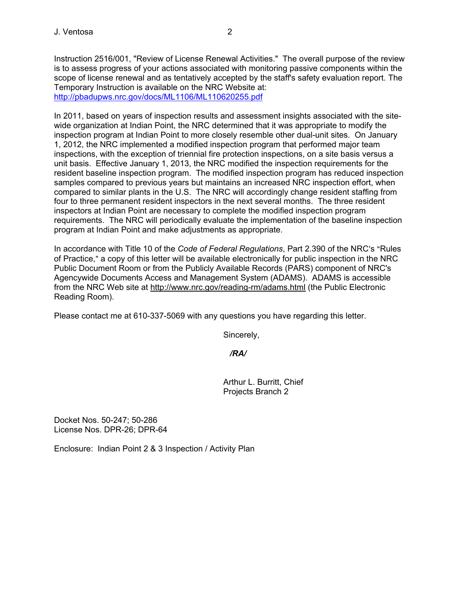Instruction 2516/001, "Review of License Renewal Activities." The overall purpose of the review is to assess progress of your actions associated with monitoring passive components within the scope of license renewal and as tentatively accepted by the staff's safety evaluation report. The Temporary Instruction is available on the NRC Website at: http://pbadupws.nrc.gov/docs/ML1106/ML110620255.pdf

In 2011, based on years of inspection results and assessment insights associated with the sitewide organization at Indian Point, the NRC determined that it was appropriate to modify the inspection program at Indian Point to more closely resemble other dual-unit sites. On January 1, 2012, the NRC implemented a modified inspection program that performed major team inspections, with the exception of triennial fire protection inspections, on a site basis versus a unit basis. Effective January 1, 2013, the NRC modified the inspection requirements for the resident baseline inspection program. The modified inspection program has reduced inspection samples compared to previous years but maintains an increased NRC inspection effort, when compared to similar plants in the U.S. The NRC will accordingly change resident staffing from four to three permanent resident inspectors in the next several months. The three resident inspectors at Indian Point are necessary to complete the modified inspection program requirements. The NRC will periodically evaluate the implementation of the baseline inspection program at Indian Point and make adjustments as appropriate.

In accordance with Title 10 of the *Code of Federal Regulations*, Part 2.390 of the NRC's "Rules" of Practice," a copy of this letter will be available electronically for public inspection in the NRC Public Document Room or from the Publicly Available Records (PARS) component of NRC's Agencywide Documents Access and Management System (ADAMS). ADAMS is accessible from the NRC Web site at http://www.nrc.gov/reading-rm/adams.html (the Public Electronic Reading Room).

Please contact me at 610-337-5069 with any questions you have regarding this letter.

Sincerely,

## */RA/*

 Arthur L. Burritt, Chief Projects Branch 2

Docket Nos. 50-247; 50-286 License Nos. DPR-26; DPR-64

Enclosure: Indian Point 2 & 3 Inspection / Activity Plan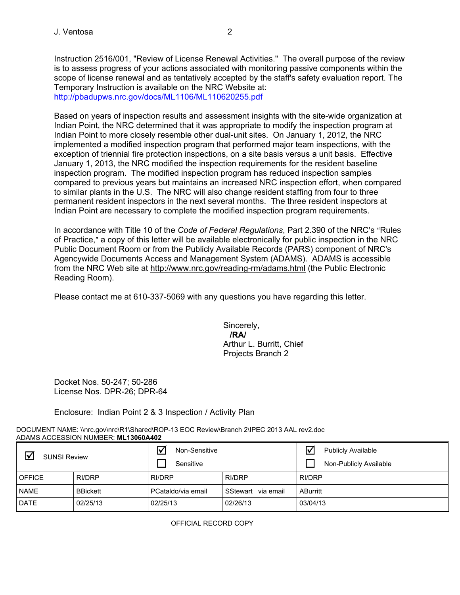Instruction 2516/001, "Review of License Renewal Activities." The overall purpose of the review is to assess progress of your actions associated with monitoring passive components within the scope of license renewal and as tentatively accepted by the staff's safety evaluation report. The Temporary Instruction is available on the NRC Website at: http://pbadupws.nrc.gov/docs/ML1106/ML110620255.pdf

Based on years of inspection results and assessment insights with the site-wide organization at Indian Point, the NRC determined that it was appropriate to modify the inspection program at Indian Point to more closely resemble other dual-unit sites. On January 1, 2012, the NRC implemented a modified inspection program that performed major team inspections, with the exception of triennial fire protection inspections, on a site basis versus a unit basis. Effective January 1, 2013, the NRC modified the inspection requirements for the resident baseline inspection program. The modified inspection program has reduced inspection samples compared to previous years but maintains an increased NRC inspection effort, when compared to similar plants in the U.S. The NRC will also change resident staffing from four to three permanent resident inspectors in the next several months. The three resident inspectors at Indian Point are necessary to complete the modified inspection program requirements.

In accordance with Title 10 of the *Code of Federal Regulations*, Part 2.390 of the NRC's "Rules" of Practice," a copy of this letter will be available electronically for public inspection in the NRC Public Document Room or from the Publicly Available Records (PARS) component of NRC's Agencywide Documents Access and Management System (ADAMS). ADAMS is accessible from the NRC Web site at http://www.nrc.gov/reading-rm/adams.html (the Public Electronic Reading Room).

Please contact me at 610-337-5069 with any questions you have regarding this letter.

 Sincerely, **/RA/**  Arthur L. Burritt, Chief Projects Branch 2

Docket Nos. 50-247; 50-286 License Nos. DPR-26; DPR-64

Enclosure: Indian Point 2 & 3 Inspection / Activity Plan

DOCUMENT NAME: \\nrc.gov\nrc\R1\Shared\ROP-13 EOC Review\Branch 2\IPEC 2013 AAL rev2.doc ADAMS ACCESSION NUMBER: **ML13060A402**

| <b>SUNSI Review</b> |                 | Non-Sensitive<br>Sensitive |                       | <b>Publicly Available</b><br>Non-Publicly Available |  |
|---------------------|-----------------|----------------------------|-----------------------|-----------------------------------------------------|--|
| <b>OFFICE</b>       | RI/DRP          | RI/DRP                     | <b>RI/DRP</b>         | <b>RI/DRP</b>                                       |  |
| <b>NAME</b>         | <b>BBickett</b> | PCataldo/via email         | SStewart<br>via email | <b>ABurritt</b>                                     |  |
| <b>DATE</b>         | 02/25/13        | 02/25/13                   | 02/26/13              | 03/04/13                                            |  |

OFFICIAL RECORD COPY